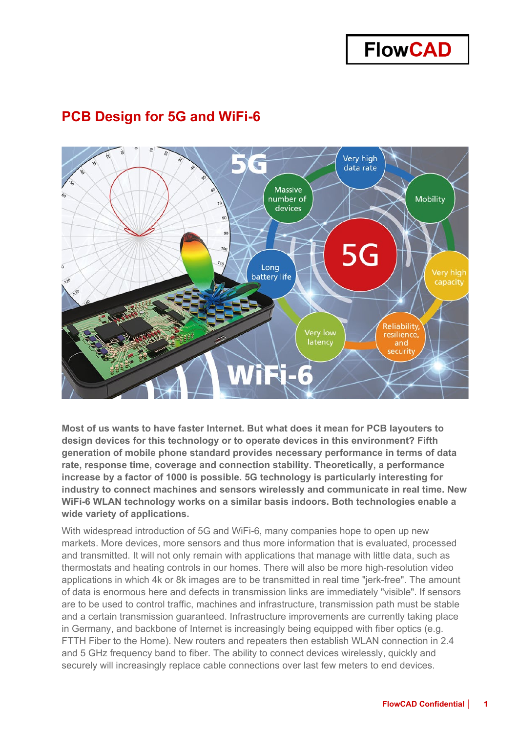**FlowCAD** 

## **PCB Design for 5G and WiFi-6**



**Most of us wants to have faster Internet. But what does it mean for PCB layouters to design devices for this technology or to operate devices in this environment? Fifth generation of mobile phone standard provides necessary performance in terms of data rate, response time, coverage and connection stability. Theoretically, a performance increase by a factor of 1000 is possible. 5G technology is particularly interesting for industry to connect machines and sensors wirelessly and communicate in real time. New WiFi-6 WLAN technology works on a similar basis indoors. Both technologies enable a wide variety of applications.**

With widespread introduction of 5G and WiFi-6, many companies hope to open up new markets. More devices, more sensors and thus more information that is evaluated, processed and transmitted. It will not only remain with applications that manage with little data, such as thermostats and heating controls in our homes. There will also be more high-resolution video applications in which 4k or 8k images are to be transmitted in real time "jerk-free". The amount of data is enormous here and defects in transmission links are immediately "visible". If sensors are to be used to control traffic, machines and infrastructure, transmission path must be stable and a certain transmission guaranteed. Infrastructure improvements are currently taking place in Germany, and backbone of Internet is increasingly being equipped with fiber optics (e.g. FTTH Fiber to the Home). New routers and repeaters then establish WLAN connection in 2.4 and 5 GHz frequency band to fiber. The ability to connect devices wirelessly, quickly and securely will increasingly replace cable connections over last few meters to end devices.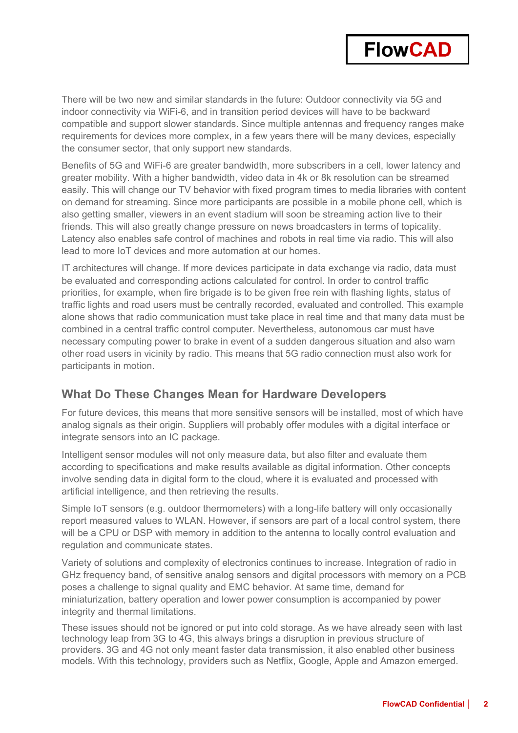

There will be two new and similar standards in the future: Outdoor connectivity via 5G and indoor connectivity via WiFi-6, and in transition period devices will have to be backward compatible and support slower standards. Since multiple antennas and frequency ranges make requirements for devices more complex, in a few years there will be many devices, especially the consumer sector, that only support new standards.

Benefits of 5G and WiFi-6 are greater bandwidth, more subscribers in a cell, lower latency and greater mobility. With a higher bandwidth, video data in 4k or 8k resolution can be streamed easily. This will change our TV behavior with fixed program times to media libraries with content on demand for streaming. Since more participants are possible in a mobile phone cell, which is also getting smaller, viewers in an event stadium will soon be streaming action live to their friends. This will also greatly change pressure on news broadcasters in terms of topicality. Latency also enables safe control of machines and robots in real time via radio. This will also lead to more IoT devices and more automation at our homes.

IT architectures will change. If more devices participate in data exchange via radio, data must be evaluated and corresponding actions calculated for control. In order to control traffic priorities, for example, when fire brigade is to be given free rein with flashing lights, status of traffic lights and road users must be centrally recorded, evaluated and controlled. This example alone shows that radio communication must take place in real time and that many data must be combined in a central traffic control computer. Nevertheless, autonomous car must have necessary computing power to brake in event of a sudden dangerous situation and also warn other road users in vicinity by radio. This means that 5G radio connection must also work for participants in motion.

#### **What Do These Changes Mean for Hardware Developers**

For future devices, this means that more sensitive sensors will be installed, most of which have analog signals as their origin. Suppliers will probably offer modules with a digital interface or integrate sensors into an IC package.

Intelligent sensor modules will not only measure data, but also filter and evaluate them according to specifications and make results available as digital information. Other concepts involve sending data in digital form to the cloud, where it is evaluated and processed with artificial intelligence, and then retrieving the results.

Simple IoT sensors (e.g. outdoor thermometers) with a long-life battery will only occasionally report measured values to WLAN. However, if sensors are part of a local control system, there will be a CPU or DSP with memory in addition to the antenna to locally control evaluation and regulation and communicate states.

Variety of solutions and complexity of electronics continues to increase. Integration of radio in GHz frequency band, of sensitive analog sensors and digital processors with memory on a PCB poses a challenge to signal quality and EMC behavior. At same time, demand for miniaturization, battery operation and lower power consumption is accompanied by power integrity and thermal limitations.

These issues should not be ignored or put into cold storage. As we have already seen with last technology leap from 3G to 4G, this always brings a disruption in previous structure of providers. 3G and 4G not only meant faster data transmission, it also enabled other business models. With this technology, providers such as Netflix, Google, Apple and Amazon emerged.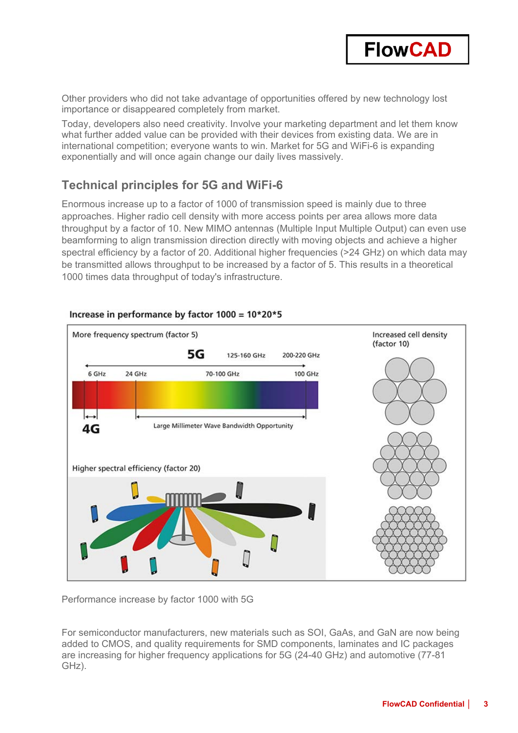

Today, developers also need creativity. Involve your marketing department and let them know what further added value can be provided with their devices from existing data. We are in international competition; everyone wants to win. Market for 5G and WiFi-6 is expanding exponentially and will once again change our daily lives massively.

#### **Technical principles for 5G and WiFi-6**

Enormous increase up to a factor of 1000 of transmission speed is mainly due to three approaches. Higher radio cell density with more access points per area allows more data throughput by a factor of 10. New MIMO antennas (Multiple Input Multiple Output) can even use beamforming to align transmission direction directly with moving objects and achieve a higher spectral efficiency by a factor of 20. Additional higher frequencies (>24 GHz) on which data may be transmitted allows throughput to be increased by a factor of 5. This results in a theoretical 1000 times data throughput of today's infrastructure.



#### Increase in performance by factor 1000 = 10\*20\*5

Performance increase by factor 1000 with 5G

For semiconductor manufacturers, new materials such as SOI, GaAs, and GaN are now being added to CMOS, and quality requirements for SMD components, laminates and IC packages are increasing for higher frequency applications for 5G (24-40 GHz) and automotive (77-81 GHz).

**FlowCAD**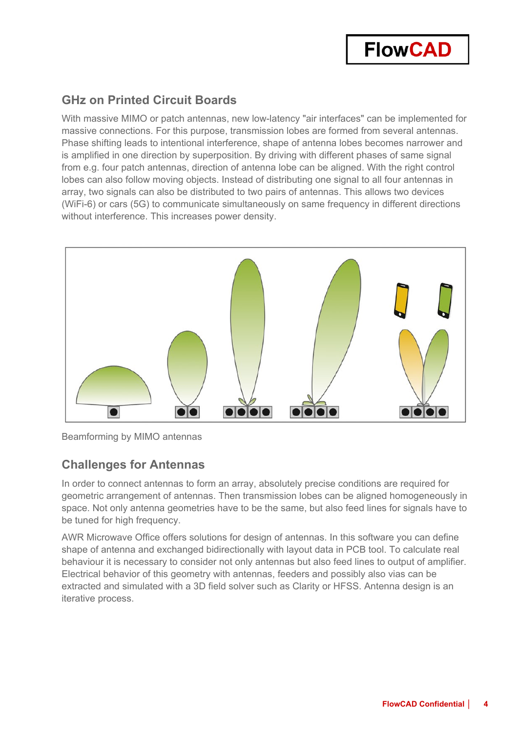

### **GHz on Printed Circuit Boards**

With massive MIMO or patch antennas, new low-latency "air interfaces" can be implemented for massive connections. For this purpose, transmission lobes are formed from several antennas. Phase shifting leads to intentional interference, shape of antenna lobes becomes narrower and is amplified in one direction by superposition. By driving with different phases of same signal from e.g. four patch antennas, direction of antenna lobe can be aligned. With the right control lobes can also follow moving objects. Instead of distributing one signal to all four antennas in array, two signals can also be distributed to two pairs of antennas. This allows two devices (WiFi-6) or cars (5G) to communicate simultaneously on same frequency in different directions without interference. This increases power density.



Beamforming by MIMO antennas

#### **Challenges for Antennas**

In order to connect antennas to form an array, absolutely precise conditions are required for geometric arrangement of antennas. Then transmission lobes can be aligned homogeneously in space. Not only antenna geometries have to be the same, but also feed lines for signals have to be tuned for high frequency.

AWR Microwave Office offers solutions for design of antennas. In this software you can define shape of antenna and exchanged bidirectionally with layout data in PCB tool. To calculate real behaviour it is necessary to consider not only antennas but also feed lines to output of amplifier. Electrical behavior of this geometry with antennas, feeders and possibly also vias can be extracted and simulated with a 3D field solver such as Clarity or HFSS. Antenna design is an iterative process.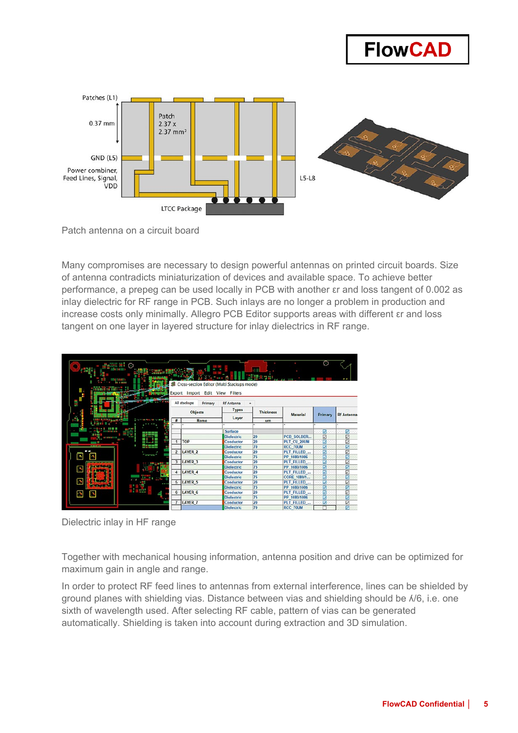



Patch antenna on a circuit board

Many compromises are necessary to design powerful antennas on printed circuit boards. Size of antenna contradicts miniaturization of devices and available space. To achieve better performance, a prepeg can be used locally in PCB with another εr and loss tangent of 0.002 as inlay dielectric for RF range in PCB. Such inlays are no longer a problem in production and increase costs only minimally. Allegro PCB Editor supports areas with different εr and loss tangent on one layer in layered structure for inlay dielectrics in RF range.

| <b>Material</b> av<br><b>HEATHING</b><br><b>RAND</b> | Θ                    | Export      | Cross-section Editor (Multi Stackups mode)<br>Import<br>Edit | View Filters      |                  |                 | Θ       |                         |
|------------------------------------------------------|----------------------|-------------|--------------------------------------------------------------|-------------------|------------------|-----------------|---------|-------------------------|
|                                                      |                      |             | All stackups<br>Primary                                      | <b>Rf Antenna</b> |                  |                 |         |                         |
|                                                      |                      |             | <b>Objects</b>                                               | <b>Types</b>      | <b>Thickness</b> |                 |         |                         |
|                                                      |                      | <b>Name</b> |                                                              | Layer             | um               | <b>Material</b> | Primary | <b>Rf Antenna</b>       |
|                                                      |                      |             |                                                              |                   |                  |                 |         |                         |
| <b>ALC: NO</b>                                       |                      |             |                                                              | <b>Surface</b>    |                  |                 | ☑       | ☑                       |
| <b>ALCOHOL: 19</b>                                   |                      |             |                                                              | <b>Dielectric</b> | 20               | PCB SOLDER      | ☑       | ☑                       |
|                                                      |                      | 1           | <b>TOP</b>                                                   | Conductor         | 20               | PLT_CU_20UM     | Ø       | ☑                       |
|                                                      |                      |             |                                                              | <b>Dielectric</b> | 70               | <b>RCC 70UM</b> | Ø       | ☑                       |
|                                                      |                      |             | 2 LAYER 2                                                    | Conductor         | 20               | PLT FILLED      | Ø       | ☑                       |
| ×                                                    | $-1$                 |             |                                                              | <b>Dielectric</b> | 75               | PP 1080/1086    | ☑       | $\overline{\mathbf{z}}$ |
|                                                      | <b>The Contract</b>  |             | 3 LAYER 3                                                    | Conductor         | 20               | PLT FILLED      | ☑       | ☑                       |
| s                                                    |                      |             |                                                              | <b>Dielectric</b> | 75               | PP 1080/1086    | ☑       | ☑                       |
|                                                      |                      | 4           | LAYER 4                                                      | Conductor         | 20               | PLT FILLED      | Ø       | ☑                       |
|                                                      |                      |             |                                                              | <b>Dielectric</b> | 75               | CORE 1080/1     | Ø       | $\overline{\mathbf{z}}$ |
| P                                                    | $\ddot{\phantom{0}}$ | 5           | LAYER <sub>5</sub>                                           | Conductor         | 20               | PLT FILLED      | Ø       | $\overline{\mathbb{Z}}$ |
| --                                                   |                      |             |                                                              | <b>Dielectric</b> | 75               | PP 1080/1086    | Ø       | ☑                       |
| æ<br>в                                               | œ                    | 6           | LAYER <sub>6</sub>                                           | Conductor         | 20               | PLT FILLED      | Ø       | ☑                       |
|                                                      |                      |             |                                                              | <b>Dielectric</b> | 75               | PP 1080/1086    | ☑       | ☑                       |
|                                                      |                      |             | LAYER 7                                                      | Conductor         | 20               | PLT FILLED      | ☑       | ☑                       |
|                                                      |                      |             |                                                              | <b>Dielectric</b> | 70               | <b>RCC 70UM</b> |         | ☑                       |

Dielectric inlay in HF range

Together with mechanical housing information, antenna position and drive can be optimized for maximum gain in angle and range.

In order to protect RF feed lines to antennas from external interference, lines can be shielded by ground planes with shielding vias. Distance between vias and shielding should be ʎ/6, i.e. one sixth of wavelength used. After selecting RF cable, pattern of vias can be generated automatically. Shielding is taken into account during extraction and 3D simulation.